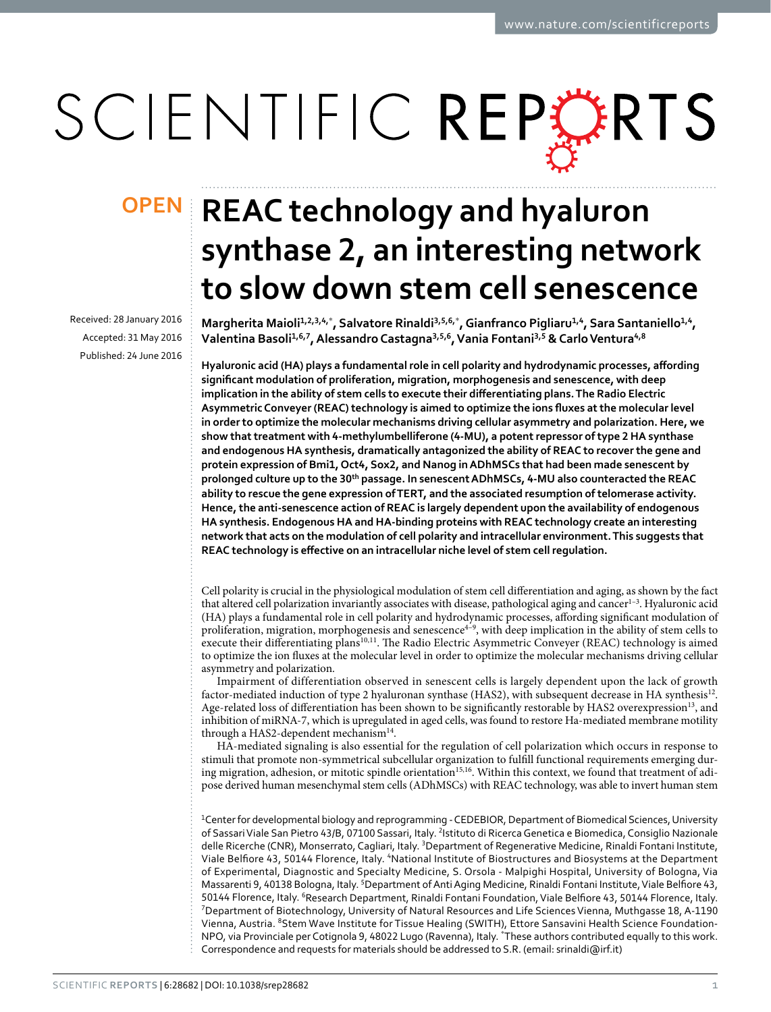# SCIENTIFIC REPERTS

Received: 28 January 2016 accepted: 31 May 2016 Published: 24 June 2016

## **OPEN** REAC technology and hyaluron **synthase 2, an interesting network to slow down stem cell senescence**

**Margherita Maioli1,2,3,4,**\* **, Salvatore Rinaldi3,5,6,**\* **, Gianfranco Pigliaru1,4, Sara Santaniello1,4, Valentina Basoli1,6,7, AlessandroCastagna3,5,6, Vania Fontani3,5 & CarloVentura4,8**

**Hyaluronic acid (HA) plays a fundamental role in cell polarity and hydrodynamic processes, affording significant modulation of proliferation, migration, morphogenesis and senescence, with deep implication in the ability of stem cells to execute their differentiating plans. The Radio Electric Asymmetric Conveyer (REAC) technology is aimed to optimize the ions fluxes at the molecular level in order to optimize the molecular mechanisms driving cellular asymmetry and polarization. Here, we show that treatment with 4-methylumbelliferone (4-MU), a potent repressor of type 2 HA synthase and endogenous HA synthesis, dramatically antagonized the ability of REAC to recover the gene and protein expression of Bmi1, Oct4, Sox2, and Nanog in ADhMSCs that had been made senescent by prolonged culture up to the 30th passage. In senescent ADhMSCs, 4-MU also counteracted the REAC ability to rescue the gene expression of TERT, and the associated resumption of telomerase activity. Hence, the anti-senescence action of REAC is largely dependent upon the availability of endogenous HA synthesis. Endogenous HA and HA-binding proteins with REAC technology create an interesting network that acts on the modulation of cell polarity and intracellular environment. This suggests that REAC technology is effective on an intracellular niche level of stem cell regulation.**

Cell polarity is crucial in the physiological modulation of stem cell differentiation and aging, as shown by the fact that altered cell polarization invariantly associates with disease, pathological aging and cancer<sup>1-3</sup>. Hyaluronic acid (HA) plays a fundamental role in cell polarity and hydrodynamic processes, affording significant modulation of proliferation, migration, morphogenesis and senescence<sup>4-9</sup>, with deep implication in the ability of stem cells to execute their differentiating plans<sup>10[,11](#page-6-3)</sup>. The Radio Electric Asymmetric Conveyer (REAC) technology is aimed to optimize the ion fluxes at the molecular level in order to optimize the molecular mechanisms driving cellular asymmetry and polarization.

Impairment of differentiation observed in senescent cells is largely dependent upon the lack of growth factor-mediated induction of type 2 hyaluronan synthase (HAS2), with subsequent decrease in HA synthesis[12.](#page-6-4) Age-related loss of differentiation has been shown to be significantly restorable by HAS2 overexpression<sup>13</sup>, and inhibition of miRNA-7, which is upregulated in aged cells, was found to restore Ha-mediated membrane motility through a HAS2-dependent mechanism<sup>[14](#page-6-6)</sup>.

HA-mediated signaling is also essential for the regulation of cell polarization which occurs in response to stimuli that promote non-symmetrical subcellular organization to fulfill functional requirements emerging dur-ing migration, adhesion, or mitotic spindle orientation<sup>[15,](#page-6-7)16</sup>. Within this context, we found that treatment of adipose derived human mesenchymal stem cells (ADhMSCs) with REAC technology, was able to invert human stem

<sup>1</sup>Center for developmental biology and reprogramming - CEDEBIOR, Department of Biomedical Sciences, University of Sassari Viale San Pietro 43/B, 07100 Sassari, Italy. <sup>2</sup>Istituto di Ricerca Genetica e Biomedica, Consiglio Nazionale delle Ricerche (CNR), Monserrato, Cagliari, Italy. <sup>3</sup>Department of Regenerative Medicine, Rinaldi Fontani Institute, Viale Belfiore 43, 50144 Florence, Italy. 4National Institute of Biostructures and Biosystems at the Department of Experimental, Diagnostic and Specialty Medicine, S. Orsola - Malpighi Hospital, University of Bologna, Via Massarenti 9, 40138 Bologna, Italy. <sup>5</sup>Department of Anti Aging Medicine, Rinaldi Fontani Institute, Viale Belfiore 43, 50144 Florence, Italy. <sup>6</sup>Research Department, Rinaldi Fontani Foundation, Viale Belfiore 43, 50144 Florence, Italy.<br><sup>7</sup>Department of Biotechnology, University of Natural Pesources and Life Sciences Vienna, Muthoasse 18, A <sup>7</sup>Department of Biotechnology, University of Natural Resources and Life Sciences Vienna, Muthgasse 18, A-1190 Vienna, Austria. 8Stem Wave Institute for Tissue Healing (SWITH), Ettore Sansavini Health Science Foundation-NPO, via Provinciale per Cotignola 9, 48022 Lugo (Ravenna), Italy. \* These authors contributed equally to this work. Correspondence and requests for materials should be addressed to S.R. (email: [srinaldi@irf.it](mailto:srinaldi@irf.it))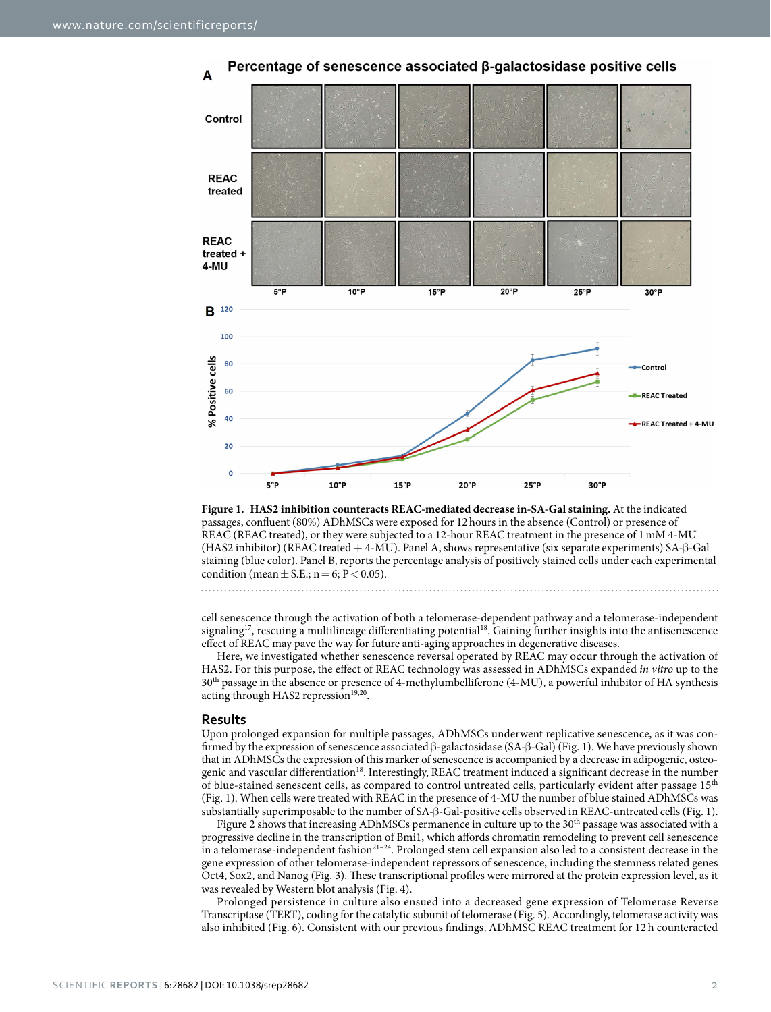

Percentage of senescence associated ß-galactosidase positive cells

<span id="page-1-0"></span>**Figure 1. HAS2 inhibition counteracts REAC-mediated decrease in-SA-Gal staining.** At the indicated passages, confluent (80%) ADhMSCs were exposed for 12hours in the absence (Control) or presence of REAC (REAC treated), or they were subjected to a 12-hour REAC treatment in the presence of 1mM 4-MU (HAS2 inhibitor) (REAC treated + 4-MU). Panel A, shows representative (six separate experiments) SA-β-Gal staining (blue color). Panel B, reports the percentage analysis of positively stained cells under each experimental condition (mean  $\pm$  S.E.; n = 6; P < 0.05).

cell senescence through the activation of both a telomerase-dependent pathway and a telomerase-independent signaling<sup>[17](#page-6-9)</sup>, rescuing a multilineage differentiating potential<sup>18</sup>. Gaining further insights into the antisenescence effect of REAC may pave the way for future anti-aging approaches in degenerative diseases.

Here, we investigated whether senescence reversal operated by REAC may occur through the activation of HAS2. For this purpose, the effect of REAC technology was assessed in ADhMSCs expanded *in vitro* up to the 30th passage in the absence or presence of 4-methylumbelliferone (4-MU), a powerful inhibitor of HA synthesis acting through HAS2 repression<sup>[19](#page-6-11),[20](#page-6-12)</sup>.

#### **Results**

Upon prolonged expansion for multiple passages, ADhMSCs underwent replicative senescence, as it was confirmed by the expression of senescence associated β-galactosidase (SA-β-Gal) [\(Fig. 1\)](#page-1-0). We have previously shown that in ADhMSCs the expression of this marker of senescence is accompanied by a decrease in adipogenic, osteogenic and vascular differentiation<sup>18</sup>. Interestingly, REAC treatment induced a significant decrease in the number of blue-stained senescent cells, as compared to control untreated cells, particularly evident after passage 15<sup>th</sup> ([Fig. 1](#page-1-0)). When cells were treated with REAC in the presence of 4-MU the number of blue stained ADhMSCs was substantially superimposable to the number of SA-β-Gal-positive cells observed in REAC-untreated cells [\(Fig. 1](#page-1-0)).

[Figure 2](#page-2-0) shows that increasing ADhMSCs permanence in culture up to the 30<sup>th</sup> passage was associated with a progressive decline in the transcription of Bmi1, which affords chromatin remodeling to prevent cell senescence in a telomerase-independent fashion<sup>21-24</sup>. Prolonged stem cell expansion also led to a consistent decrease in the gene expression of other telomerase-independent repressors of senescence, including the stemness related genes Oct4, Sox2, and Nanog [\(Fig. 3](#page-3-0)). These transcriptional profiles were mirrored at the protein expression level, as it was revealed by Western blot analysis ([Fig. 4](#page-4-0)).

Prolonged persistence in culture also ensued into a decreased gene expression of Telomerase Reverse Transcriptase (TERT), coding for the catalytic subunit of telomerase [\(Fig. 5\)](#page-4-1). Accordingly, telomerase activity was also inhibited [\(Fig. 6](#page-4-2)). Consistent with our previous findings, ADhMSC REAC treatment for 12 h counteracted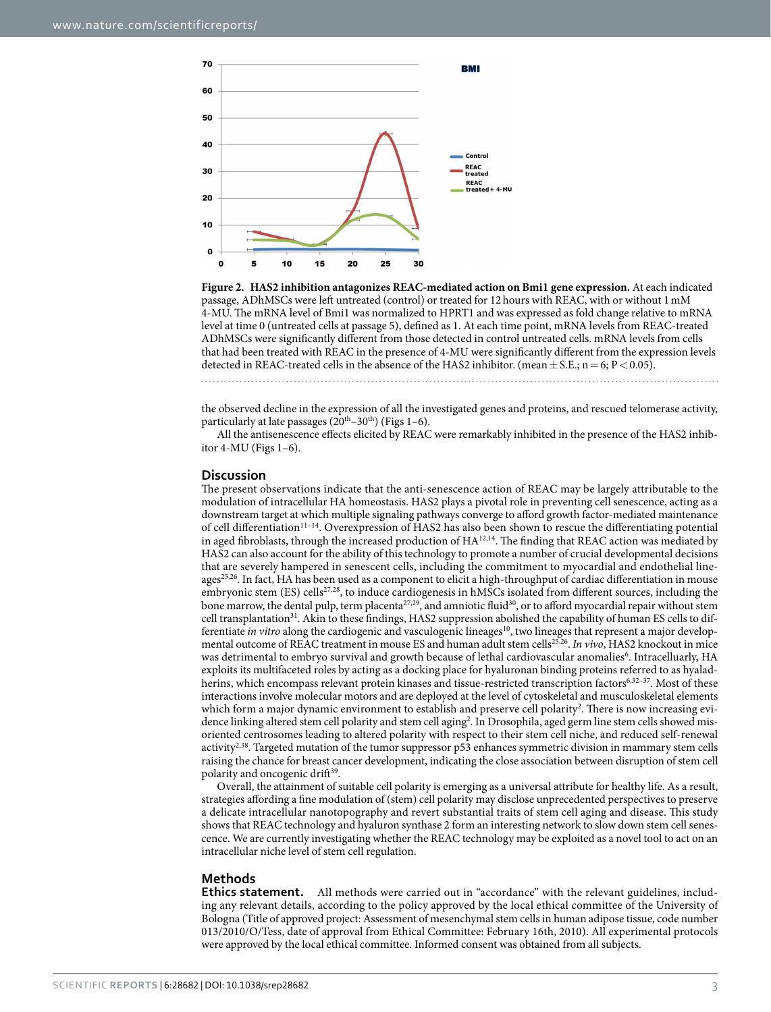

<span id="page-2-0"></span>**Figure 2. HAS2 inhibition antagonizes REAC-mediated action on Bmi1 gene expression.** At each indicated passage, ADhMSCs were left untreated (control) or treated for 12hours with REAC, with or without 1mM 4-MU. The mRNA level of Bmi1 was normalized to HPRT1 and was expressed as fold change relative to mRNA level at time 0 (untreated cells at passage 5), defined as 1. At each time point, mRNA levels from REAC-treated ADhMSCs were significantly different from those detected in control untreated cells. mRNA levels from cells that had been treated with REAC in the presence of 4-MU were significantly different from the expression levels detected in REAC-treated cells in the absence of the HAS2 inhibitor. (mean  $\pm$  S.E.; n = 6; P < 0.05).

the observed decline in the expression of all the investigated genes and proteins, and rescued telomerase activity, particularly at late passages  $(20<sup>th</sup>-30<sup>th</sup>)$  [\(Figs 1–6](#page-1-0)).

All the antisenescence effects elicited by REAC were remarkably inhibited in the presence of the HAS2 inhibitor 4-MU [\(Figs 1–6](#page-1-0)).

#### **Discussion**

The present observations indicate that the anti-senescence action of REAC may be largely attributable to the modulation of intracellular HA homeostasis. HAS2 plays a pivotal role in preventing cell senescence, acting as a downstream target at which multiple signaling pathways converge to afford growth factor-mediated maintenance of cell differentiation[11–14](#page-6-3). Overexpression of HAS2 has also been shown to rescue the differentiating potential in aged fibroblasts, through the increased production of HA<sup>[12,](#page-6-4)14</sup>. The finding that REAC action was mediated by HAS2 can also account for the ability of this technology to promote a number of crucial developmental decisions that are severely hampered in senescent cells, including the commitment to myocardial and endothelial line-ages<sup>[25](#page-6-14),[26](#page-6-15)</sup>. In fact, HA has been used as a component to elicit a high-throughput of cardiac differentiation in mouse embryonic stem (ES) cells<sup>[27,](#page-6-16)28</sup>, to induce cardiogenesis in hMSCs isolated from different sources, including the bone marrow, the dental pulp, term placenta $^{27,29}$  $^{27,29}$  $^{27,29}$  $^{27,29}$  $^{27,29}$ , and amniotic fluid $^{30}$ , or to afford myocardial repair without stem cell transplantation<sup>31</sup>. Akin to these findings, HAS2 suppression abolished the capability of human ES cells to differentiate *in vitro* along the cardiogenic and vasculogenic lineages<sup>10</sup>, two lineages that represent a major developmental outcome of REAC treatment in mouse ES and human adult stem cell[s25,](#page-6-14)[26.](#page-6-15) *In vivo*, HAS2 knockout in mice was detrimental to embryo survival and growth because of lethal cardiovascular anomalies<sup>[6](#page-6-21)</sup>. Intracelluarly, HA exploits its multifaceted roles by acting as a docking place for hyaluronan binding proteins referred to as hyaladherins, which encompass relevant protein kinases and tissue-restricted transcription factor[s6,](#page-6-21)32-37. Most of these interactions involve molecular motors and are deployed at the level of cytoskeletal and musculoskeletal elements which form a major dynamic environment to establish and preserve cell polarity<sup>2</sup>. There is now increasing evi-dence linking altered stem cell polarity and stem cell aging<sup>[2](#page-6-22)</sup>. In Drosophila, aged germ line stem cells showed misoriented centrosomes leading to altered polarity with respect to their stem cell niche, and reduced self-renewal activity[2,](#page-6-22)[38.](#page-7-1) Targeted mutation of the tumor suppressor p53 enhances symmetric division in mammary stem cells raising the chance for breast cancer development, indicating the close association between disruption of stem cell polarity and oncogenic drift<sup>39</sup>.

Overall, the attainment of suitable cell polarity is emerging as a universal attribute for healthy life. As a result, strategies affording a fine modulation of (stem) cell polarity may disclose unprecedented perspectives to preserve a delicate intracellular nanotopography and revert substantial traits of stem cell aging and disease. This study shows that REAC technology and hyaluron synthase 2 form an interesting network to slow down stem cell senescence. We are currently investigating whether the REAC technology may be exploited as a novel tool to act on an intracellular niche level of stem cell regulation.

#### **Methods**

**Ethics statement.** All methods were carried out in "accordance" with the relevant guidelines, including any relevant details, according to the policy approved by the local ethical committee of the University of Bologna (Title of approved project: Assessment of mesenchymal stem cells in human adipose tissue, code number 013/2010/O/Tess, date of approval from Ethical Committee: February 16th, 2010). All experimental protocols were approved by the local ethical committee. Informed consent was obtained from all subjects.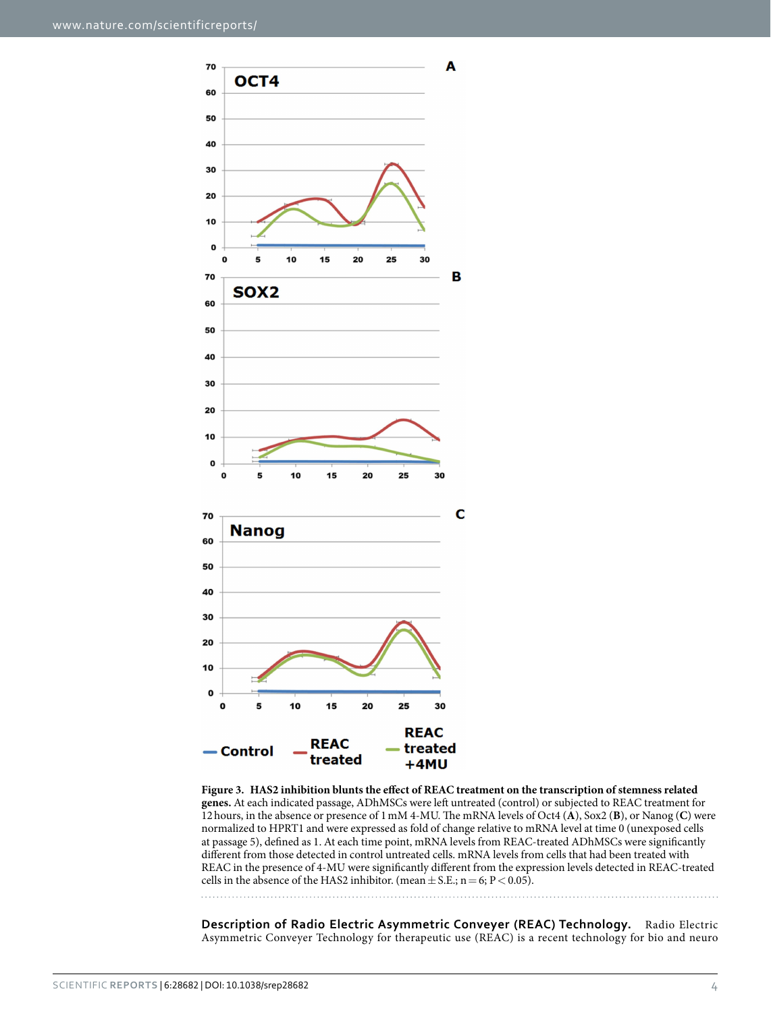

<span id="page-3-0"></span>**Figure 3. HAS2 inhibition blunts the effect of REAC treatment on the transcription of stemness related genes.** At each indicated passage, ADhMSCs were left untreated (control) or subjected to REAC treatment for 12hours, in the absence or presence of 1mM 4-MU. The mRNA levels of Oct4 (**A**), Sox2 (**B**), or Nanog (**C**) were normalized to HPRT1 and were expressed as fold of change relative to mRNA level at time 0 (unexposed cells at passage 5), defined as 1. At each time point, mRNA levels from REAC-treated ADhMSCs were significantly different from those detected in control untreated cells. mRNA levels from cells that had been treated with REAC in the presence of 4-MU were significantly different from the expression levels detected in REAC-treated cells in the absence of the HAS2 inhibitor. (mean  $\pm$  S.E.; n = 6; P < 0.05).

**Description of Radio Electric Asymmetric Conveyer (REAC) Technology.** Radio Electric Asymmetric Conveyer Technology for therapeutic use (REAC) is a recent technology for bio and neuro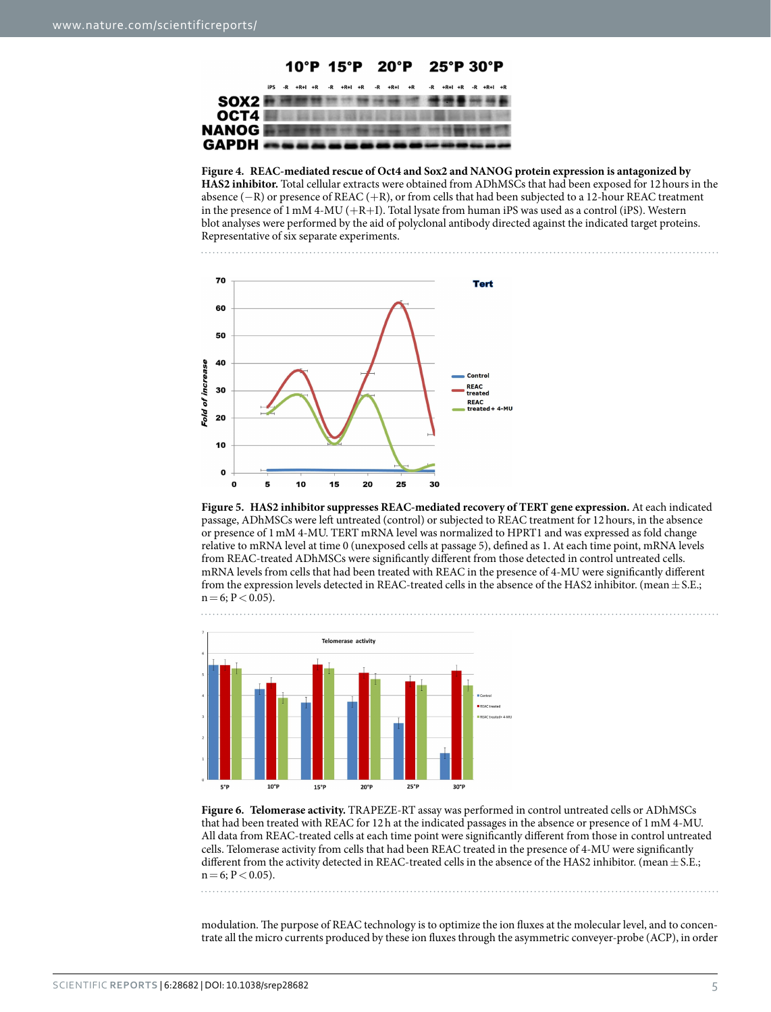

<span id="page-4-0"></span>**Figure 4. REAC-mediated rescue of Oct4 and Sox2 and NANOG protein expression is antagonized by HAS2 inhibitor.** Total cellular extracts were obtained from ADhMSCs that had been exposed for 12hours in the absence (−R) or presence of REAC (+R), or from cells that had been subjected to a 12-hour REAC treatment in the presence of 1 mM 4-MU ( $+R+I$ ). Total lysate from human iPS was used as a control (iPS). Western blot analyses were performed by the aid of polyclonal antibody directed against the indicated target proteins. Representative of six separate experiments.



<span id="page-4-1"></span>



<span id="page-4-2"></span>**Figure 6. Telomerase activity.** TRAPEZE-RT assay was performed in control untreated cells or ADhMSCs that had been treated with REAC for 12h at the indicated passages in the absence or presence of 1mM 4-MU. All data from REAC-treated cells at each time point were significantly different from those in control untreated cells. Telomerase activity from cells that had been REAC treated in the presence of 4-MU were significantly different from the activity detected in REAC-treated cells in the absence of the HAS2 inhibitor. (mean  $\pm$  S.E.;  $n=6$ ;  $P < 0.05$ ).

modulation. The purpose of REAC technology is to optimize the ion fluxes at the molecular level, and to concentrate all the micro currents produced by these ion fluxes through the asymmetric conveyer-probe (ACP), in order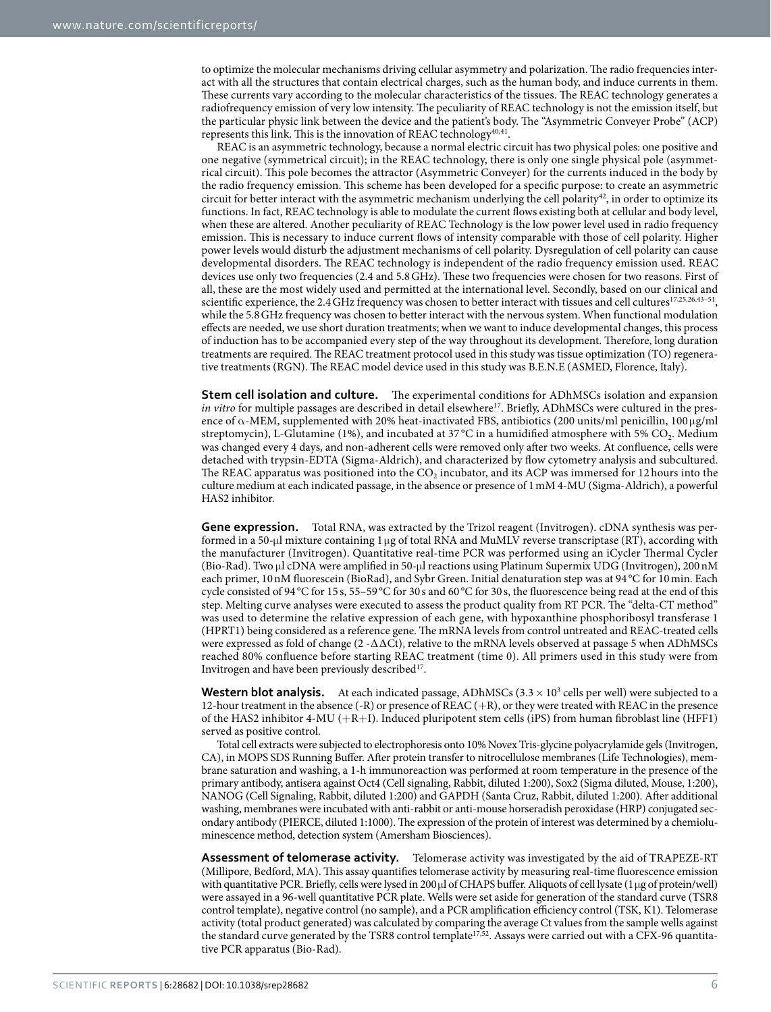to optimize the molecular mechanisms driving cellular asymmetry and polarization. The radio frequencies interact with all the structures that contain electrical charges, such as the human body, and induce currents in them. These currents vary according to the molecular characteristics of the tissues. The REAC technology generates a radiofrequency emission of very low intensity. The peculiarity of REAC technology is not the emission itself, but the particular physic link between the device and the patient's body. The "Asymmetric Conveyer Probe" (ACP) represents this link. This is the innovation of REAC technology<sup>[40](#page-7-3),[41](#page-7-4)</sup>.

REAC is an asymmetric technology, because a normal electric circuit has two physical poles: one positive and one negative (symmetrical circuit); in the REAC technology, there is only one single physical pole (asymmetrical circuit). This pole becomes the attractor (Asymmetric Conveyer) for the currents induced in the body by the radio frequency emission. This scheme has been developed for a specific purpose: to create an asymmetric circuit for better interact with the asymmetric mechanism underlying the cell polarity<sup>[42](#page-7-5)</sup>, in order to optimize its functions. In fact, REAC technology is able to modulate the current flows existing both at cellular and body level, when these are altered. Another peculiarity of REAC Technology is the low power level used in radio frequency emission. This is necessary to induce current flows of intensity comparable with those of cell polarity. Higher power levels would disturb the adjustment mechanisms of cell polarity. Dysregulation of cell polarity can cause developmental disorders. The REAC technology is independent of the radio frequency emission used. REAC devices use only two frequencies (2.4 and 5.8GHz). These two frequencies were chosen for two reasons. First of all, these are the most widely used and permitted at the international level. Secondly, based on our clinical and scientific experience, the 2.4 GHz frequency was chosen to better interact with tissues and cell cultures<sup>17[,25](#page-6-14)[,26](#page-6-15),43-51</sup>, while the 5.8GHz frequency was chosen to better interact with the nervous system. When functional modulation effects are needed, we use short duration treatments; when we want to induce developmental changes, this process of induction has to be accompanied every step of the way throughout its development. Therefore, long duration treatments are required. The REAC treatment protocol used in this study was tissue optimization (TO) regenerative treatments (RGN). The REAC model device used in this study was B.E.N.E (ASMED, Florence, Italy).

**Stem cell isolation and culture.** The experimental conditions for ADhMSCs isolation and expansion *in vitro* for multiple passages are described in detail elsewhere<sup>17</sup>. Briefly, ADhMSCs were cultured in the presence of  $\alpha$ -MEM, supplemented with 20% heat-inactivated FBS, antibiotics (200 units/ml penicillin, 100  $\mu$ g/ml streptomycin), L-Glutamine (1%), and incubated at 37 °C in a humidified atmosphere with 5% CO<sub>2</sub>. Medium was changed every 4 days, and non-adherent cells were removed only after two weeks. At confluence, cells were detached with trypsin-EDTA (Sigma-Aldrich), and characterized by flow cytometry analysis and subcultured. The REAC apparatus was positioned into the  $CO<sub>2</sub>$  incubator, and its ACP was immersed for 12 hours into the culture medium at each indicated passage, in the absence or presence of 1mM 4-MU (Sigma-Aldrich), a powerful HAS2 inhibitor.

**Gene expression.** Total RNA, was extracted by the Trizol reagent (Invitrogen). cDNA synthesis was performed in a 50-μl mixture containing 1μg of total RNA and MuMLV reverse transcriptase (RT), according with the manufacturer (Invitrogen). Quantitative real-time PCR was performed using an iCycler Thermal Cycler (Bio-Rad). Two μl cDNA were amplified in 50-μl reactions using Platinum Supermix UDG (Invitrogen), 200nM each primer, 10nM fluorescein (BioRad), and Sybr Green. Initial denaturation step was at 94 °C for 10 min. Each cycle consisted of 94 °C for 15 s, 55–59 °C for 30 s and 60 °C for 30 s, the fluorescence being read at the end of this step. Melting curve analyses were executed to assess the product quality from RT PCR. The "delta-CT method" was used to determine the relative expression of each gene, with hypoxanthine phosphoribosyl transferase 1 (HPRT1) being considered as a reference gene. The mRNA levels from control untreated and REAC-treated cells were expressed as fold of change (2 -∆∆Ct), relative to the mRNA levels observed at passage 5 when ADhMSCs reached 80% confluence before starting REAC treatment (time 0). All primers used in this study were from Invitrogen and have been previously described $17$ .

**Western blot analysis.** At each indicated passage, ADhMSCs  $(3.3 \times 10^3$  cells per well) were subjected to a 12-hour treatment in the absence (-R) or presence of REAC (+R), or they were treated with REAC in the presence of the HAS2 inhibitor 4-MU (+R+I). Induced pluripotent stem cells (iPS) from human fibroblast line (HFF1) served as positive control.

Total cell extracts were subjected to electrophoresis onto 10% Novex Tris-glycine polyacrylamide gels (Invitrogen, CA), in MOPS SDS Running Buffer. After protein transfer to nitrocellulose membranes (Life Technologies), membrane saturation and washing, a 1-h immunoreaction was performed at room temperature in the presence of the primary antibody, antisera against Oct4 (Cell signaling, Rabbit, diluted 1:200), Sox2 (Sigma diluted, Mouse, 1:200), NANOG (Cell Signaling, Rabbit, diluted 1:200) and GAPDH (Santa Cruz, Rabbit, diluted 1:200). After additional washing, membranes were incubated with anti-rabbit or anti-mouse horseradish peroxidase (HRP) conjugated secondary antibody (PIERCE, diluted 1:1000). The expression of the protein of interest was determined by a chemioluminescence method, detection system (Amersham Biosciences).

**Assessment of telomerase activity.** Telomerase activity was investigated by the aid of TRAPEZE-RT (Millipore, Bedford, MA). This assay quantifies telomerase activity by measuring real-time fluorescence emission with quantitative PCR. Briefly, cells were lysed in 200μl of CHAPS buffer. Aliquots of cell lysate (1μg of protein/well) were assayed in a 96-well quantitative PCR plate. Wells were set aside for generation of the standard curve (TSR8 control template), negative control (no sample), and a PCR amplification efficiency control (TSK, K1). Telomerase activity (total product generated) was calculated by comparing the average Ct values from the sample wells against the standard curve generated by the TSR8 control template<sup>17,52</sup>. Assays were carried out with a CFX-96 quantitative PCR apparatus (Bio-Rad).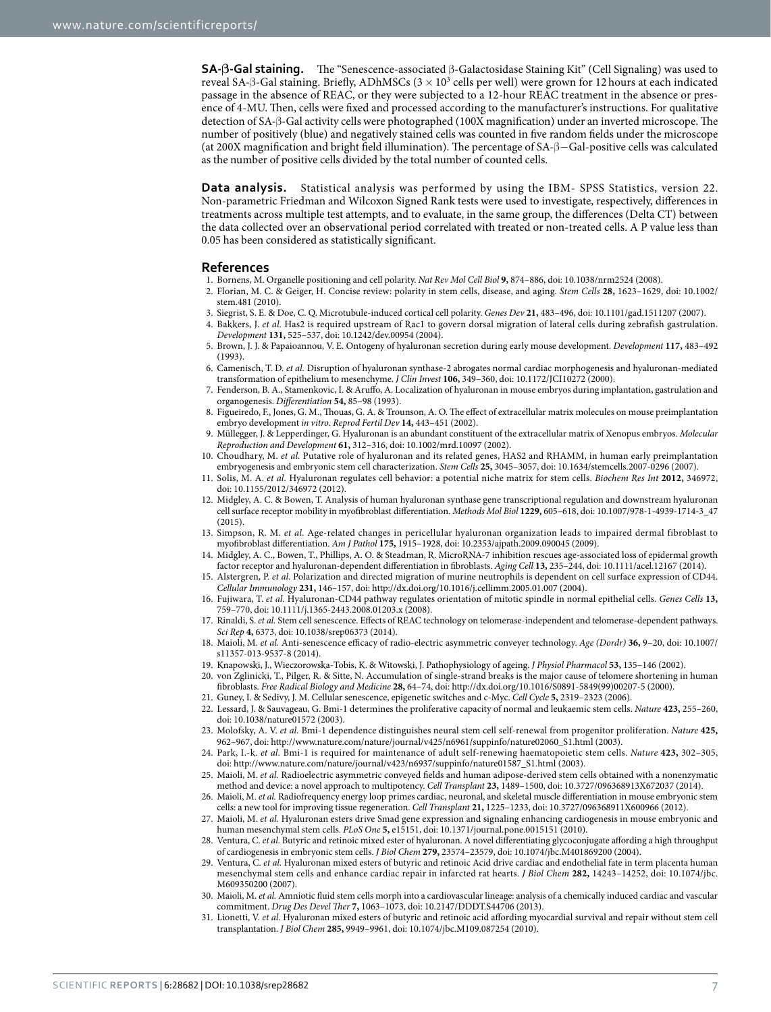**SA-β-Gal staining.** The "Senescence-associated β-Galactosidase Staining Kit" (Cell Signaling) was used to reveal SA-β-Gal staining. Briefly, ADhMSCs ( $3 \times 10^3$  cells per well) were grown for 12 hours at each indicated passage in the absence of REAC, or they were subjected to a 12-hour REAC treatment in the absence or presence of 4-MU. Then, cells were fixed and processed according to the manufacturer's instructions. For qualitative detection of SA-β-Gal activity cells were photographed (100X magnification) under an inverted microscope. The number of positively (blue) and negatively stained cells was counted in five random fields under the microscope (at 200X magnification and bright field illumination). The percentage of SA-β−Gal-positive cells was calculated as the number of positive cells divided by the total number of counted cells.

**Data analysis.** Statistical analysis was performed by using the IBM- SPSS Statistics, version 22. Non-parametric Friedman and Wilcoxon Signed Rank tests were used to investigate, respectively, differences in treatments across multiple test attempts, and to evaluate, in the same group, the differences (Delta CT) between the data collected over an observational period correlated with treated or non-treated cells. A P value less than 0.05 has been considered as statistically significant.

#### **References**

- <span id="page-6-22"></span><span id="page-6-0"></span>1. Bornens, M. Organelle positioning and cell polarity. *Nat Rev Mol Cell Biol* **9,** 874–886, doi: 10.1038/nrm2524 (2008).
- 2. Florian, M. C. & Geiger, H. Concise review: polarity in stem cells, disease, and aging. *Stem Cells* **28,** 1623–1629, doi: 10.1002/ stem.481 (2010).
- 3. Siegrist, S. E. & Doe, C. Q. Microtubule-induced cortical cell polarity. *Genes Dev* **21,** 483–496, doi: 10.1101/gad.1511207 (2007).
- <span id="page-6-1"></span>4. Bakkers, J. *et al.* Has2 is required upstream of Rac1 to govern dorsal migration of lateral cells during zebrafish gastrulation. *Development* **131,** 525–537, doi: 10.1242/dev.00954 (2004).
- 5. Brown, J. J. & Papaioannou, V. E. Ontogeny of hyaluronan secretion during early mouse development. *Development* **117,** 483–492  $(1993)$
- <span id="page-6-21"></span>6. Camenisch, T. D. *et al.* Disruption of hyaluronan synthase-2 abrogates normal cardiac morphogenesis and hyaluronan-mediated transformation of epithelium to mesenchyme. *J Clin Invest* **106,** 349–360, doi: 10.1172/JCI10272 (2000).
- 7. Fenderson, B. A., Stamenkovic, I. & Aruffo, A. Localization of hyaluronan in mouse embryos during implantation, gastrulation and organogenesis. *Differentiation* **54,** 85–98 (1993).
- 8. Figueiredo, F., Jones, G. M., Thouas, G. A. & Trounson, A. O. The effect of extracellular matrix molecules on mouse preimplantation embryo development *in vitro*. *Reprod Fertil Dev* **14,** 443–451 (2002).
- 9. Müllegger, J. & Lepperdinger, G. Hyaluronan is an abundant constituent of the extracellular matrix of Xenopus embryos. *Molecular Reproduction and Development* **61,** 312–316, doi: 10.1002/mrd.10097 (2002).
- <span id="page-6-2"></span>10. Choudhary, M. *et al.* Putative role of hyaluronan and its related genes, HAS2 and RHAMM, in human early preimplantation embryogenesis and embryonic stem cell characterization. *Stem Cells* **25,** 3045–3057, doi: 10.1634/stemcells.2007-0296 (2007).
- <span id="page-6-3"></span>11. Solis, M. A. *et al.* Hyaluronan regulates cell behavior: a potential niche matrix for stem cells. *Biochem Res Int* **2012,** 346972, doi: 10.1155/2012/346972 (2012).
- <span id="page-6-4"></span>12. Midgley, A. C. & Bowen, T. Analysis of human hyaluronan synthase gene transcriptional regulation and downstream hyaluronan cell surface receptor mobility in myofibroblast differentiation. *Methods Mol Biol* **1229,** 605–618, doi: 10.1007/978-1-4939-1714-3\_47 (2015).
- <span id="page-6-5"></span>13. Simpson, R. M. *et al.* Age-related changes in pericellular hyaluronan organization leads to impaired dermal fibroblast to myofibroblast differentiation. *Am J Pathol* **175,** 1915–1928, doi: 10.2353/ajpath.2009.090045 (2009).
- <span id="page-6-6"></span>14. Midgley, A. C., Bowen, T., Phillips, A. O. & Steadman, R. MicroRNA-7 inhibition rescues age-associated loss of epidermal growth factor receptor and hyaluronan-dependent differentiation in fibroblasts. *Aging Cell* **13,** 235–244, doi: 10.1111/acel.12167 (2014).
- <span id="page-6-7"></span>15. Alstergren, P. *et al.* Polarization and directed migration of murine neutrophils is dependent on cell surface expression of CD44. *Cellular Immunology* **231,** 146–157, doi: http://dx.doi.org/10.1016/j.cellimm.2005.01.007 (2004).
- <span id="page-6-8"></span>16. Fujiwara, T. *et al.* Hyaluronan-CD44 pathway regulates orientation of mitotic spindle in normal epithelial cells. *Genes Cells* **13,** 759–770, doi: 10.1111/j.1365-2443.2008.01203.x (2008).
- <span id="page-6-9"></span>17. Rinaldi, S. *et al.* Stem cell senescence. Effects of REAC technology on telomerase-independent and telomerase-dependent pathways. *Sci Rep* **4,** 6373, doi: 10.1038/srep06373 (2014).
- <span id="page-6-10"></span>18. Maioli, M. *et al.* Anti-senescence efficacy of radio-electric asymmetric conveyer technology. *Age (Dordr)* **36,** 9–20, doi: 10.1007/ s11357-013-9537-8 (2014).
- <span id="page-6-11"></span>19. Knapowski, J., Wieczorowska-Tobis, K. & Witowski, J. Pathophysiology of ageing. *J Physiol Pharmacol* **53,** 135–146 (2002).
- <span id="page-6-12"></span>20. von Zglinicki, T., Pilger, R. & Sitte, N. Accumulation of single-strand breaks is the major cause of telomere shortening in human fibroblasts. *Free Radical Biology and Medicine* **28,** 64–74, doi: http://dx.doi.org/10.1016/S0891-5849(99)00207-5 (2000).
- <span id="page-6-13"></span>21. Guney, I. & Sedivy, J. M. Cellular senescence, epigenetic switches and c-Myc. *Cell Cycle* **5,** 2319–2323 (2006).
- 22. Lessard, J. & Sauvageau, G. Bmi-1 determines the proliferative capacity of normal and leukaemic stem cells. *Nature* **423,** 255–260, doi: 10.1038/nature01572 (2003).
- 23. Molofsky, A. V. *et al.* Bmi-1 dependence distinguishes neural stem cell self-renewal from progenitor proliferation. *Nature* **425,** 962–967, doi: http://www.nature.com/nature/journal/v425/n6961/suppinfo/nature02060\_S1.html (2003).
- 24. Park, I.-k. *et al.* Bmi-1 is required for maintenance of adult self-renewing haematopoietic stem cells. *Nature* **423,** 302–305, doi: http://www.nature.com/nature/journal/v423/n6937/suppinfo/nature01587\_S1.html (2003).
- <span id="page-6-14"></span>25. Maioli, M. *et al.* Radioelectric asymmetric conveyed fields and human adipose-derived stem cells obtained with a nonenzymatic method and device: a novel approach to multipotency. *Cell Transplant* **23,** 1489–1500, doi: 10.3727/096368913X672037 (2014).
- <span id="page-6-15"></span>26. Maioli, M. *et al.* Radiofrequency energy loop primes cardiac, neuronal, and skeletal muscle differentiation in mouse embryonic stem cells: a new tool for improving tissue regeneration. *Cell Transplant* **21,** 1225–1233, doi: 10.3727/096368911X600966 (2012).
- <span id="page-6-16"></span>27. Maioli, M. *et al.* Hyaluronan esters drive Smad gene expression and signaling enhancing cardiogenesis in mouse embryonic and human mesenchymal stem cells. *PLoS One* **5,** e15151, doi: 10.1371/journal.pone.0015151 (2010).
- <span id="page-6-17"></span>28. Ventura, C. *et al.* Butyric and retinoic mixed ester of hyaluronan. A novel differentiating glycoconjugate affording a high throughput of cardiogenesis in embryonic stem cells. *J Biol Chem* **279,** 23574–23579, doi: 10.1074/jbc.M401869200 (2004).
- <span id="page-6-18"></span>29. Ventura, C. *et al.* Hyaluronan mixed esters of butyric and retinoic Acid drive cardiac and endothelial fate in term placenta human mesenchymal stem cells and enhance cardiac repair in infarcted rat hearts. *J Biol Chem* **282,** 14243–14252, doi: 10.1074/jbc. M609350200 (2007).
- <span id="page-6-19"></span>30. Maioli, M. *et al.* Amniotic fluid stem cells morph into a cardiovascular lineage: analysis of a chemically induced cardiac and vascular commitment. *Drug Des Devel Ther* **7,** 1063–1073, doi: 10.2147/DDDT.S44706 (2013).
- <span id="page-6-20"></span>31. Lionetti, V. *et al.* Hyaluronan mixed esters of butyric and retinoic acid affording myocardial survival and repair without stem cell transplantation. *J Biol Chem* **285,** 9949–9961, doi: 10.1074/jbc.M109.087254 (2010).